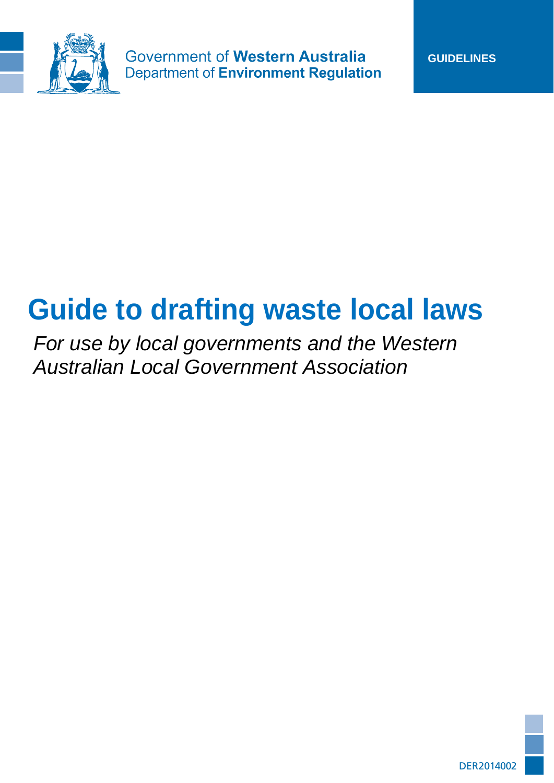

**Government of Western Australia Department of Environment Regulation** 

# **Guide to drafting waste local laws**

*For use by local governments and the Western Australian Local Government Association*

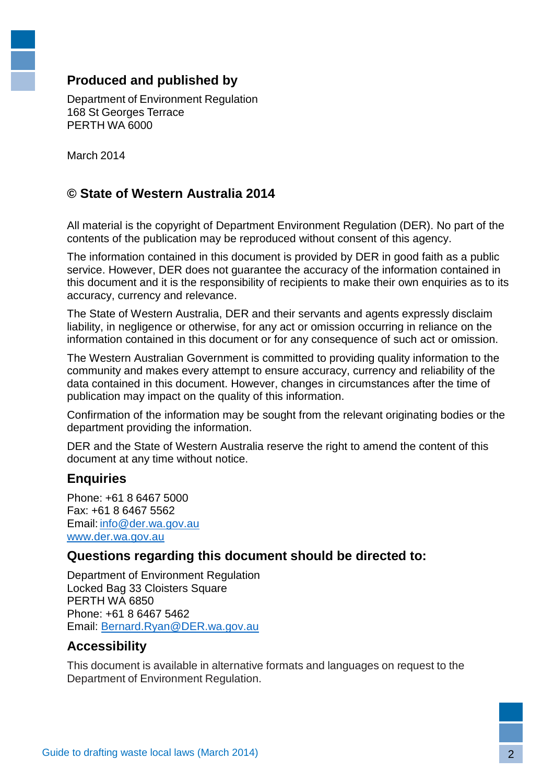### **Produced and published by**

Department of Environment Regulation 168 St Georges Terrace PERTH WA 6000

March 2014

### **© State of Western Australia 2014**

All material is the copyright of Department Environment Regulation (DER). No part of the contents of the publication may be reproduced without consent of this agency.

The information contained in this document is provided by DER in good faith as a public service. However, DER does not guarantee the accuracy of the information contained in this document and it is the responsibility of recipients to make their own enquiries as to its accuracy, currency and relevance.

The State of Western Australia, DER and their servants and agents expressly disclaim liability, in negligence or otherwise, for any act or omission occurring in reliance on the information contained in this document or for any consequence of such act or omission.

The Western Australian Government is committed to providing quality information to the community and makes every attempt to ensure accuracy, currency and reliability of the data contained in this document. However, changes in circumstances after the time of publication may impact on the quality of this information.

Confirmation of the information may be sought from the relevant originating bodies or the department providing the information.

DER and the State of Western Australia reserve the right to amend the content of this document at any time without notice.

#### **Enquiries**

Phone: +61 8 6467 5000 Fax: +61 8 6467 5562 Email: [info@der.wa.gov.au](mailto:info@der.wa.gov.au) [www.der.wa.gov.au](http://www.der.wa.gov.au/)

#### **Questions regarding this document should be directed to:**

Department of Environment Regulation Locked Bag 33 Cloisters Square PERTH WA 6850 Phone: +61 8 6467 5462 Email: [Bernard.Ryan@DER.wa.gov.au](mailto:Bernard.Ryan@DER.wa.gov.au)

#### **Accessibility**

This document is available in alternative formats and languages on request to the Department of Environment Regulation.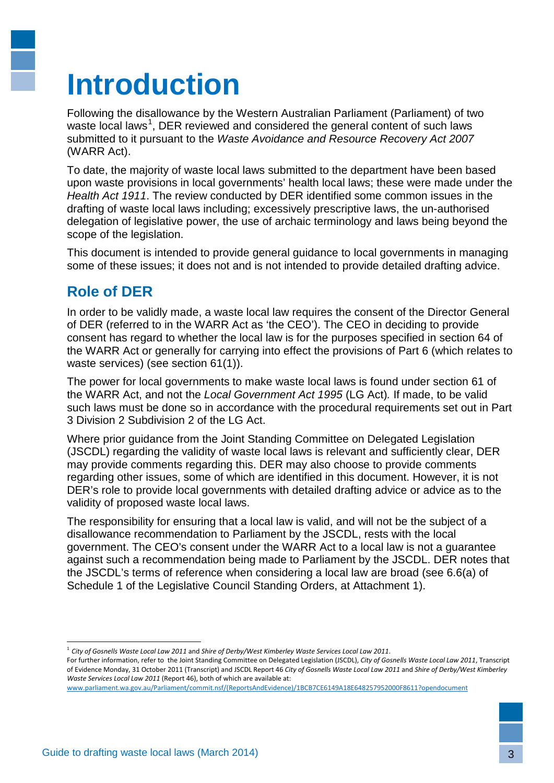# **Introduction**

Following the disallowance by the Western Australian Parliament (Parliament) of two waste local laws<sup>[1](#page-2-0)</sup>, DER reviewed and considered the general content of such laws submitted to it pursuant to the *Waste Avoidance and Resource Recovery Act 2007* (WARR Act).

To date, the majority of waste local laws submitted to the department have been based upon waste provisions in local governments' health local laws; these were made under the *Health Act 1911*. The review conducted by DER identified some common issues in the drafting of waste local laws including; excessively prescriptive laws, the un-authorised delegation of legislative power, the use of archaic terminology and laws being beyond the scope of the legislation.

This document is intended to provide general guidance to local governments in managing some of these issues; it does not and is not intended to provide detailed drafting advice.

## **Role of DER**

In order to be validly made, a waste local law requires the consent of the Director General of DER (referred to in the WARR Act as 'the CEO'). The CEO in deciding to provide consent has regard to whether the local law is for the purposes specified in section 64 of the WARR Act or generally for carrying into effect the provisions of Part 6 (which relates to waste services) (see section 61(1)).

The power for local governments to make waste local laws is found under section 61 of the WARR Act, and not the *Local Government Act 1995* (LG Act)*.* If made, to be valid such laws must be done so in accordance with the procedural requirements set out in Part 3 Division 2 Subdivision 2 of the LG Act.

Where prior guidance from the Joint Standing Committee on Delegated Legislation (JSCDL) regarding the validity of waste local laws is relevant and sufficiently clear, DER may provide comments regarding this. DER may also choose to provide comments regarding other issues, some of which are identified in this document. However, it is not DER's role to provide local governments with detailed drafting advice or advice as to the validity of proposed waste local laws.

The responsibility for ensuring that a local law is valid, and will not be the subject of a disallowance recommendation to Parliament by the JSCDL, rests with the local government. The CEO's consent under the WARR Act to a local law is not a guarantee against such a recommendation being made to Parliament by the JSCDL. DER notes that the JSCDL's terms of reference when considering a local law are broad (see 6.6(a) of Schedule 1 of the Legislative Council Standing Orders, at Attachment 1).

-

<sup>1</sup> *City of Gosnells Waste Local Law 2011* and *Shire of Derby/West Kimberley Waste Services Local Law 2011*.

<span id="page-2-0"></span>For further information, refer to the Joint Standing Committee on Delegated Legislation (JSCDL), *City of Gosnells Waste Local Law 2011*, Transcript of Evidence Monday, 31 October 2011 (Transcript) and JSCDL Report 46 *City of Gosnells Waste Local Law 2011* and *Shire of Derby/West Kimberley Waste Services Local Law 2011* (Report 46), both of which are available at:

[www.parliament.wa.gov.au/Parliament/commit.nsf/\(ReportsAndEvidence\)/1BCB7CE6149A18E648257952000F8611?opendocument](http://www.parliament.wa.gov.au/Parliament/commit.nsf/(ReportsAndEvidence)/1BCB7CE6149A18E648257952000F8611?opendocument)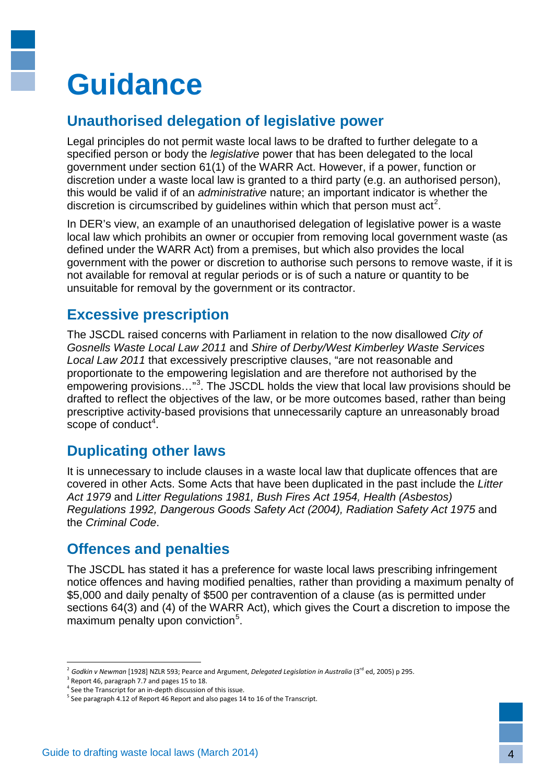# **Guidance**

## **Unauthorised delegation of legislative power**

Legal principles do not permit waste local laws to be drafted to further delegate to a specified person or body the *legislative* power that has been delegated to the local government under section 61(1) of the WARR Act. However, if a power, function or discretion under a waste local law is granted to a third party (e.g. an authorised person), this would be valid if of an *administrative* nature; an important indicator is whether the discretion is circumscribed by guidelines within which that person must  $act<sup>2</sup>$  $act<sup>2</sup>$  $act<sup>2</sup>$ .

In DER's view, an example of an unauthorised delegation of legislative power is a waste local law which prohibits an owner or occupier from removing local government waste (as defined under the WARR Act) from a premises, but which also provides the local government with the power or discretion to authorise such persons to remove waste, if it is not available for removal at regular periods or is of such a nature or quantity to be unsuitable for removal by the government or its contractor.

### **Excessive prescription**

The JSCDL raised concerns with Parliament in relation to the now disallowed *City of Gosnells Waste Local Law 2011* and *Shire of Derby/West Kimberley Waste Services Local Law 2011* that excessively prescriptive clauses, "are not reasonable and proportionate to the empowering legislation and are therefore not authorised by the empowering provisions..."<sup>[3](#page-3-1)</sup>. The JSCDL holds the view that local law provisions should be drafted to reflect the objectives of the law, or be more outcomes based, rather than being prescriptive activity-based provisions that unnecessarily capture an unreasonably broad scope of conduct<sup>[4](#page-3-2)</sup>.

### **Duplicating other laws**

It is unnecessary to include clauses in a waste local law that duplicate offences that are covered in other Acts. Some Acts that have been duplicated in the past include the *Litter Act 1979* and *Litter Regulations 1981, Bush Fires Act 1954, Health (Asbestos) Regulations 1992, Dangerous Goods Safety Act (2004), Radiation Safety Act 1975* and the *Criminal Code*.

### **Offences and penalties**

The JSCDL has stated it has a preference for waste local laws prescribing infringement notice offences and having modified penalties, rather than providing a maximum penalty of \$5,000 and daily penalty of \$500 per contravention of a clause (as is permitted under sections 64(3) and (4) of the WARR Act), which gives the Court a discretion to impose the maximum penalty upon conviction<sup>[5](#page-3-3)</sup>.

<u>.</u>

<sup>&</sup>lt;sup>2</sup> Godkin v Newman [1928] NZLR 593; Pearce and Argument, *Delegated Legislation in Australia* (3<sup>rd</sup> ed, 2005) p 295.

<span id="page-3-2"></span><span id="page-3-1"></span><span id="page-3-0"></span> $3$  Report 46, paragraph 7.7 and pages 15 to 18.

<sup>&</sup>lt;sup>4</sup> See the Transcript for an in-depth discussion of this issue.

<span id="page-3-3"></span><sup>&</sup>lt;sup>5</sup> See paragraph 4.12 of Report 46 Report and also pages 14 to 16 of the Transcript.